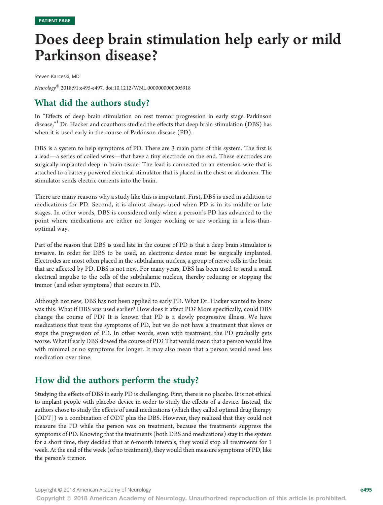# Does deep brain stimulation help early or mild Parkinson disease?

Steven Karceski, MD

Neurology® 2018;91:e495-e497. doi:[10.1212/WNL.0000000000005918](http://dx.doi.org/10.1212/WNL.0000000000005918)

## What did the authors study?

In "Effects of deep brain stimulation on rest tremor progression in early stage Parkinson disease," <sup>1</sup> Dr. Hacker and coauthors studied the effects that deep brain stimulation (DBS) has when it is used early in the course of Parkinson disease (PD).

DBS is a system to help symptoms of PD. There are 3 main parts of this system. The first is a lead—a series of coiled wires—that have a tiny electrode on the end. These electrodes are surgically implanted deep in brain tissue. The lead is connected to an extension wire that is attached to a battery-powered electrical stimulator that is placed in the chest or abdomen. The stimulator sends electric currents into the brain.

There are many reasons why a study like this is important. First, DBS is used in addition to medications for PD. Second, it is almost always used when PD is in its middle or late stages. In other words, DBS is considered only when a person's PD has advanced to the point where medications are either no longer working or are working in a less-thanoptimal way.

Part of the reason that DBS is used late in the course of PD is that a deep brain stimulator is invasive. In order for DBS to be used, an electronic device must be surgically implanted. Electrodes are most often placed in the subthalamic nucleus, a group of nerve cells in the brain that are affected by PD. DBS is not new. For many years, DBS has been used to send a small electrical impulse to the cells of the subthalamic nucleus, thereby reducing or stopping the tremor (and other symptoms) that occurs in PD.

Although not new, DBS has not been applied to early PD. What Dr. Hacker wanted to know was this: What if DBS was used earlier? How does it affect PD? More specifically, could DBS change the course of PD? It is known that PD is a slowly progressive illness. We have medications that treat the symptoms of PD, but we do not have a treatment that slows or stops the progression of PD. In other words, even with treatment, the PD gradually gets worse. What if early DBS slowed the course of PD? That would mean that a person would live with minimal or no symptoms for longer. It may also mean that a person would need less medication over time.

## How did the authors perform the study?

Studying the effects of DBS in early PD is challenging. First, there is no placebo. It is not ethical to implant people with placebo device in order to study the effects of a device. Instead, the authors chose to study the effects of usual medications (which they called optimal drug therapy [ODT]) vs a combination of ODT plus the DBS. However, they realized that they could not measure the PD while the person was on treatment, because the treatments suppress the symptoms of PD. Knowing that the treatments (both DBS and medications) stay in the system for a short time, they decided that at 6-month intervals, they would stop all treatments for 1 week. At the end of the week (of no treatment), they would then measure symptoms of PD, like the person's tremor.

Copyright © 2018 American Academy of Neurology. Unauthorized reproduction of this article is prohibited.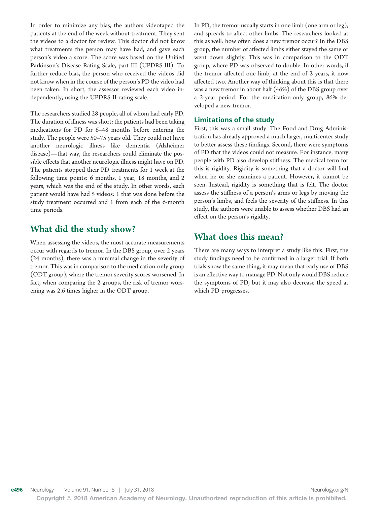In order to minimize any bias, the authors videotaped the patients at the end of the week without treatment. They sent the videos to a doctor for review. This doctor did not know what treatments the person may have had, and gave each person's video a score. The score was based on the Unified Parkinson's Disease Rating Scale, part III (UPDRS-III). To further reduce bias, the person who received the videos did not know when in the course of the person's PD the video had been taken. In short, the assessor reviewed each video independently, using the UPDRS-II rating scale.

The researchers studied 28 people, all of whom had early PD. The duration of illness was short: the patients had been taking medications for PD for 6–48 months before entering the study. The people were 50–75 years old. They could not have another neurologic illness like dementia (Alzheimer disease)—that way, the researchers could eliminate the possible effects that another neurologic illness might have on PD. The patients stopped their PD treatments for 1 week at the following time points: 6 months, 1 year, 18 months, and 2 years, which was the end of the study. In other words, each patient would have had 5 videos: 1 that was done before the study treatment occurred and 1 from each of the 6-month time periods.

### What did the study show?

When assessing the videos, the most accurate measurements occur with regards to tremor. In the DBS group, over 2 years (24 months), there was a minimal change in the severity of tremor. This was in comparison to the medication-only group (ODT group), where the tremor severity scores worsened. In fact, when comparing the 2 groups, the risk of tremor worsening was 2.6 times higher in the ODT group.

In PD, the tremor usually starts in one limb (one arm or leg), and spreads to affect other limbs. The researchers looked at this as well: how often does a new tremor occur? In the DBS group, the number of affected limbs either stayed the same or went down slightly. This was in comparison to the ODT group, where PD was observed to double. In other words, if the tremor affected one limb, at the end of 2 years, it now affected two. Another way of thinking about this is that there was a new tremor in about half (46%) of the DBS group over a 2-year period. For the medication-only group, 86% developed a new tremor.

#### Limitations of the study

First, this was a small study. The Food and Drug Administration has already approved a much larger, multicenter study to better assess these findings. Second, there were symptoms of PD that the videos could not measure. For instance, many people with PD also develop stiffness. The medical term for this is rigidity. Rigidity is something that a doctor will find when he or she examines a patient. However, it cannot be seen. Instead, rigidity is something that is felt. The doctor assess the stiffness of a person's arms or legs by moving the person's limbs, and feels the severity of the stiffness. In this study, the authors were unable to assess whether DBS had an effect on the person's rigidity.

### What does this mean?

There are many ways to interpret a study like this. First, the study findings need to be confirmed in a larger trial. If both trials show the same thing, it may mean that early use of DBS is an effective way to manage PD. Not only would DBS reduce the symptoms of PD, but it may also decrease the speed at which PD progresses.